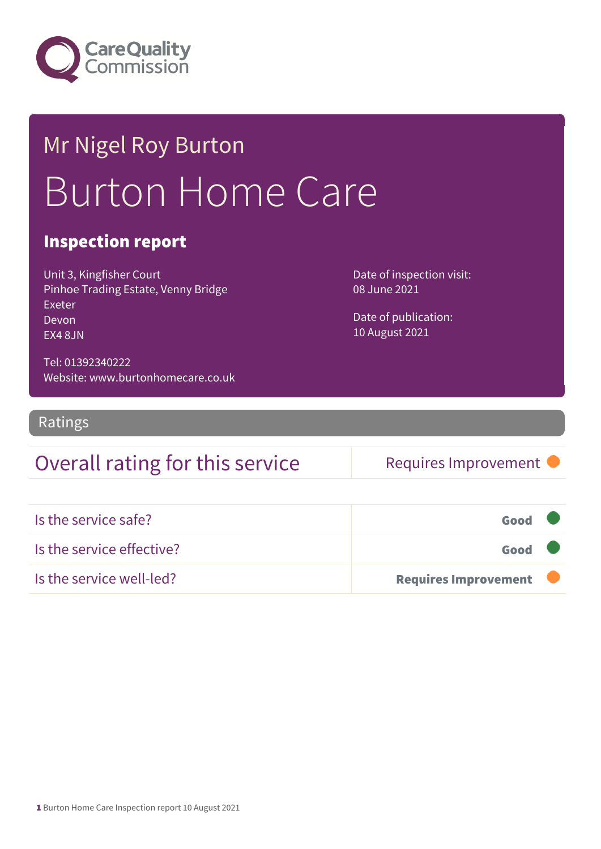

## Mr Nigel Roy Burton Burton Home Care

#### Inspection report

Unit 3, Kingfisher Court Pinhoe Trading Estate, Venny Bridge Exeter Devon EX4 8JN

Date of inspection visit: 08 June 2021

Date of publication: 10 August 2021

Tel: 01392340222 Website: www.burtonhomecare.co.uk

Ratings

## Overall rating for this service Requires Improvement

| Is the service safe?      | Good                        |  |
|---------------------------|-----------------------------|--|
| Is the service effective? | Good                        |  |
| Is the service well-led?  | <b>Requires Improvement</b> |  |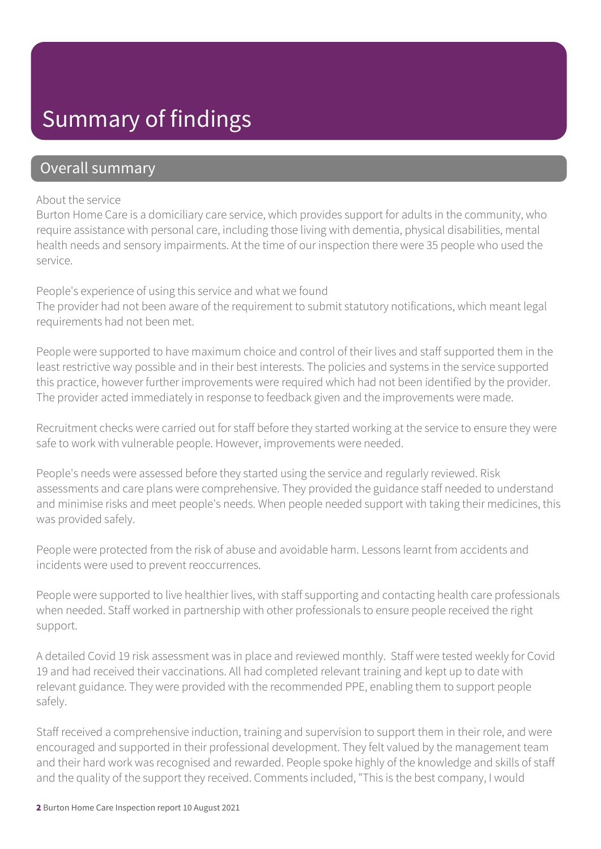## Summary of findings

#### Overall summary

#### About the service

Burton Home Care is a domiciliary care service, which provides support for adults in the community, who require assistance with personal care, including those living with dementia, physical disabilities, mental health needs and sensory impairments. At the time of our inspection there were 35 people who used the service.

#### People's experience of using this service and what we found

The provider had not been aware of the requirement to submit statutory notifications, which meant legal requirements had not been met.

People were supported to have maximum choice and control of their lives and staff supported them in the least restrictive way possible and in their best interests. The policies and systems in the service supported this practice, however further improvements were required which had not been identified by the provider. The provider acted immediately in response to feedback given and the improvements were made.

Recruitment checks were carried out for staff before they started working at the service to ensure they were safe to work with vulnerable people. However, improvements were needed.

People's needs were assessed before they started using the service and regularly reviewed. Risk assessments and care plans were comprehensive. They provided the guidance staff needed to understand and minimise risks and meet people's needs. When people needed support with taking their medicines, this was provided safely.

People were protected from the risk of abuse and avoidable harm. Lessons learnt from accidents and incidents were used to prevent reoccurrences.

People were supported to live healthier lives, with staff supporting and contacting health care professionals when needed. Staff worked in partnership with other professionals to ensure people received the right support.

A detailed Covid 19 risk assessment was in place and reviewed monthly. Staff were tested weekly for Covid 19 and had received their vaccinations. All had completed relevant training and kept up to date with relevant guidance. They were provided with the recommended PPE, enabling them to support people safely.

Staff received a comprehensive induction, training and supervision to support them in their role, and were encouraged and supported in their professional development. They felt valued by the management team and their hard work was recognised and rewarded. People spoke highly of the knowledge and skills of staff and the quality of the support they received. Comments included, "This is the best company, I would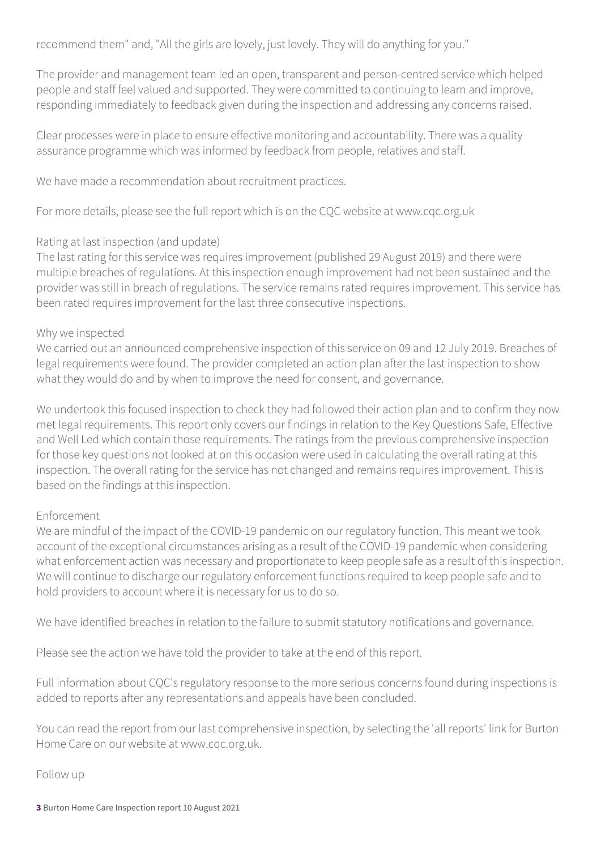recommend them" and, "All the girls are lovely, just lovely. They will do anything for you."

The provider and management team led an open, transparent and person-centred service which helped people and staff feel valued and supported. They were committed to continuing to learn and improve, responding immediately to feedback given during the inspection and addressing any concerns raised.

Clear processes were in place to ensure effective monitoring and accountability. There was a quality assurance programme which was informed by feedback from people, relatives and staff.

We have made a recommendation about recruitment practices.

For more details, please see the full report which is on the CQC website at www.cqc.org.uk

#### Rating at last inspection (and update)

The last rating for this service was requires improvement (published 29 August 2019) and there were multiple breaches of regulations. At this inspection enough improvement had not been sustained and the provider was still in breach of regulations. The service remains rated requires improvement. This service has been rated requires improvement for the last three consecutive inspections.

#### Why we inspected

We carried out an announced comprehensive inspection of this service on 09 and 12 July 2019. Breaches of legal requirements were found. The provider completed an action plan after the last inspection to show what they would do and by when to improve the need for consent, and governance.

We undertook this focused inspection to check they had followed their action plan and to confirm they now met legal requirements. This report only covers our findings in relation to the Key Questions Safe, Effective and Well Led which contain those requirements. The ratings from the previous comprehensive inspection for those key questions not looked at on this occasion were used in calculating the overall rating at this inspection. The overall rating for the service has not changed and remains requires improvement. This is based on the findings at this inspection.

#### Enforcement

We are mindful of the impact of the COVID-19 pandemic on our regulatory function. This meant we took account of the exceptional circumstances arising as a result of the COVID-19 pandemic when considering what enforcement action was necessary and proportionate to keep people safe as a result of this inspection. We will continue to discharge our regulatory enforcement functions required to keep people safe and to hold providers to account where it is necessary for us to do so.

We have identified breaches in relation to the failure to submit statutory notifications and governance.

Please see the action we have told the provider to take at the end of this report.

Full information about CQC's regulatory response to the more serious concerns found during inspections is added to reports after any representations and appeals have been concluded.

You can read the report from our last comprehensive inspection, by selecting the 'all reports' link for Burton Home Care on our website at www.cqc.org.uk.

Follow up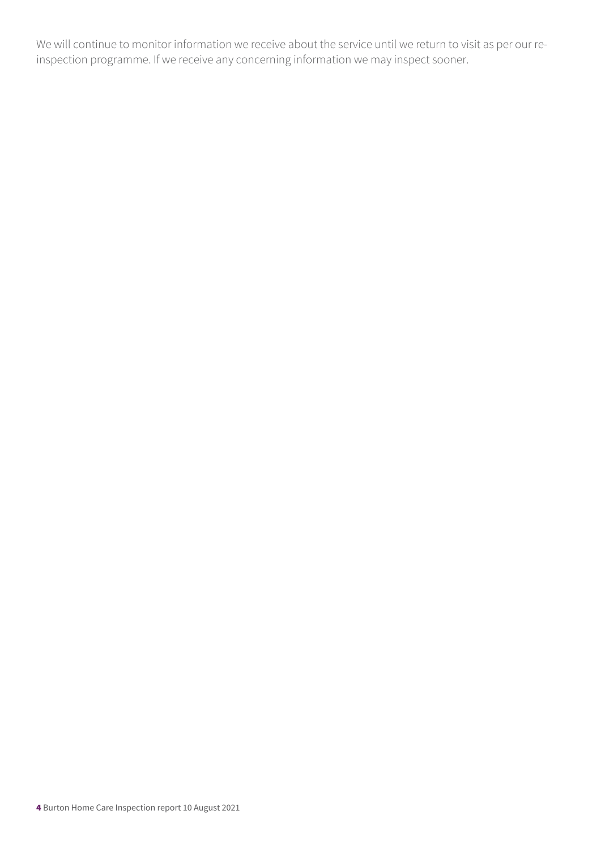We will continue to monitor information we receive about the service until we return to visit as per our reinspection programme. If we receive any concerning information we may inspect sooner.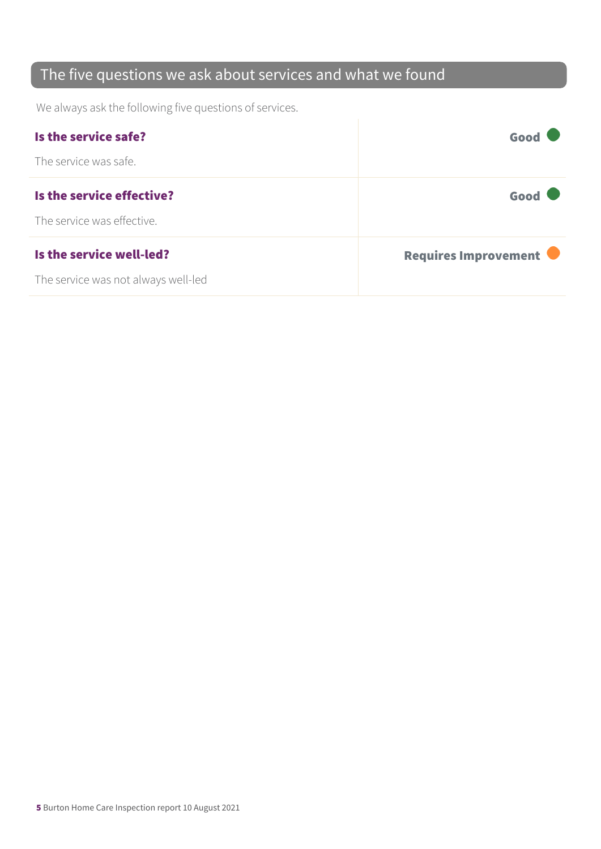## The five questions we ask about services and what we found

We always ask the following five questions of services.

| Is the service safe?                | Good                 |
|-------------------------------------|----------------------|
| The service was safe.               |                      |
| Is the service effective?           | Good                 |
| The service was effective.          |                      |
| Is the service well-led?            | Requires Improvement |
| The service was not always well-led |                      |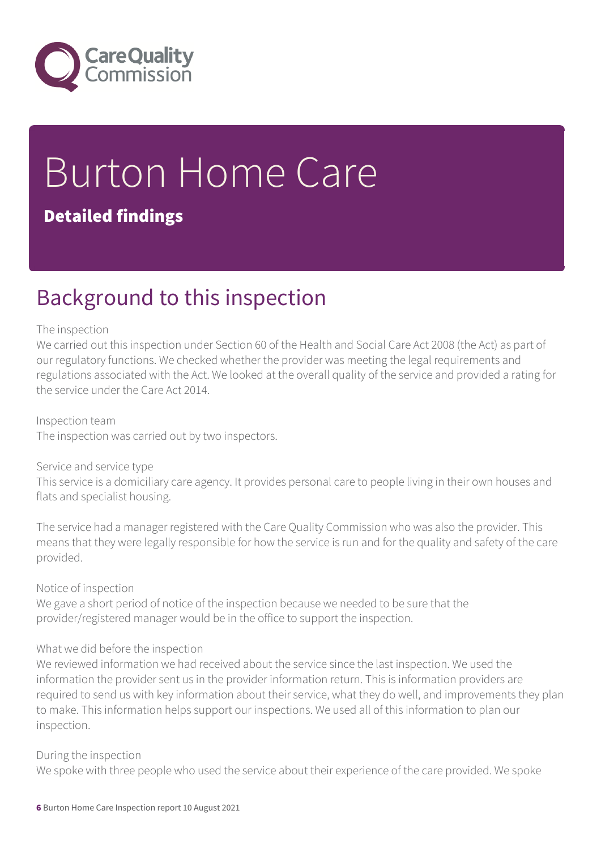

# Burton Home Care

### Detailed findings

## Background to this inspection

#### The inspection

We carried out this inspection under Section 60 of the Health and Social Care Act 2008 (the Act) as part of our regulatory functions. We checked whether the provider was meeting the legal requirements and regulations associated with the Act. We looked at the overall quality of the service and provided a rating for the service under the Care Act 2014.

Inspection team The inspection was carried out by two inspectors.

#### Service and service type

This service is a domiciliary care agency. It provides personal care to people living in their own houses and flats and specialist housing.

The service had a manager registered with the Care Quality Commission who was also the provider. This means that they were legally responsible for how the service is run and for the quality and safety of the care provided.

#### Notice of inspection

We gave a short period of notice of the inspection because we needed to be sure that the provider/registered manager would be in the office to support the inspection.

#### What we did before the inspection

We reviewed information we had received about the service since the last inspection. We used the information the provider sent us in the provider information return. This is information providers are required to send us with key information about their service, what they do well, and improvements they plan to make. This information helps support our inspections. We used all of this information to plan our inspection.

#### During the inspection

We spoke with three people who used the service about their experience of the care provided. We spoke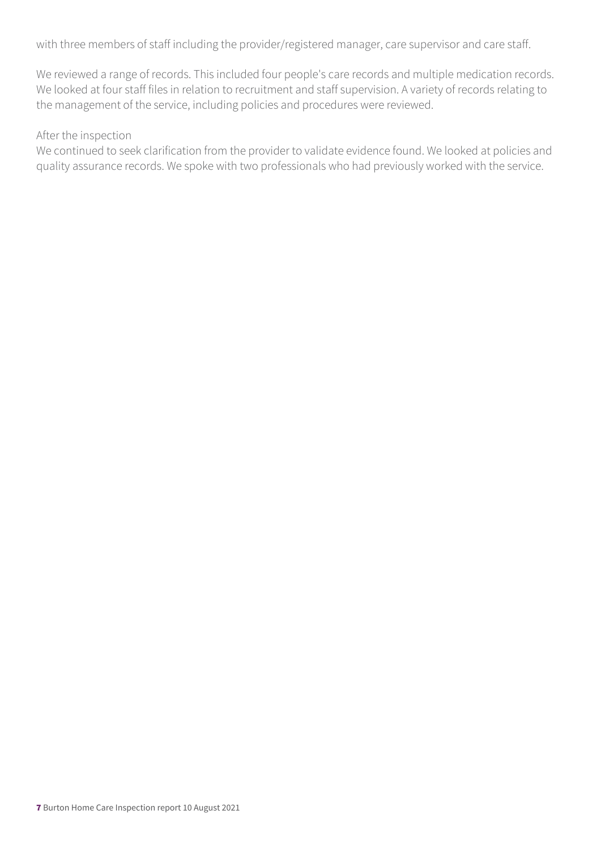with three members of staff including the provider/registered manager, care supervisor and care staff.

We reviewed a range of records. This included four people's care records and multiple medication records. We looked at four staff files in relation to recruitment and staff supervision. A variety of records relating to the management of the service, including policies and procedures were reviewed.

#### After the inspection

We continued to seek clarification from the provider to validate evidence found. We looked at policies and quality assurance records. We spoke with two professionals who had previously worked with the service.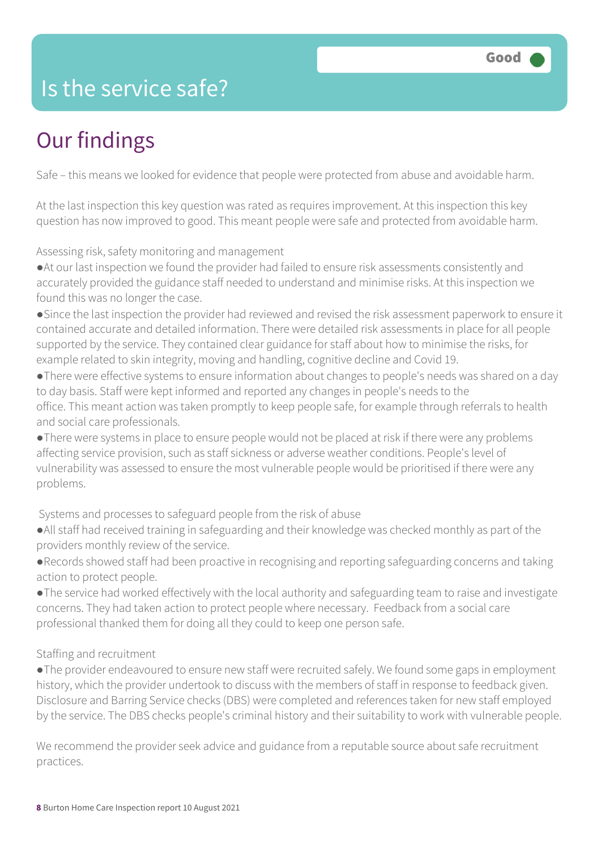## Is the service safe?

## Our findings

Safe – this means we looked for evidence that people were protected from abuse and avoidable harm.

At the last inspection this key question was rated as requires improvement. At this inspection this key question has now improved to good. This meant people were safe and protected from avoidable harm.

Assessing risk, safety monitoring and management

●At our last inspection we found the provider had failed to ensure risk assessments consistently and accurately provided the guidance staff needed to understand and minimise risks. At this inspection we found this was no longer the case.

●Since the last inspection the provider had reviewed and revised the risk assessment paperwork to ensure it contained accurate and detailed information. There were detailed risk assessments in place for all people supported by the service. They contained clear guidance for staff about how to minimise the risks, for example related to skin integrity, moving and handling, cognitive decline and Covid 19.

●There were effective systems to ensure information about changes to people's needs was shared on a day to day basis. Staff were kept informed and reported any changes in people's needs to the office. This meant action was taken promptly to keep people safe, for example through referrals to health and social care professionals.

●There were systems in place to ensure people would not be placed at risk if there were any problems affecting service provision, such as staff sickness or adverse weather conditions. People's level of vulnerability was assessed to ensure the most vulnerable people would be prioritised if there were any problems.

Systems and processes to safeguard people from the risk of abuse

●All staff had received training in safeguarding and their knowledge was checked monthly as part of the providers monthly review of the service.

●Records showed staff had been proactive in recognising and reporting safeguarding concerns and taking action to protect people.

●The service had worked effectively with the local authority and safeguarding team to raise and investigate concerns. They had taken action to protect people where necessary. Feedback from a social care professional thanked them for doing all they could to keep one person safe.

#### Staffing and recruitment

●The provider endeavoured to ensure new staff were recruited safely. We found some gaps in employment history, which the provider undertook to discuss with the members of staff in response to feedback given. Disclosure and Barring Service checks (DBS) were completed and references taken for new staff employed by the service. The DBS checks people's criminal history and their suitability to work with vulnerable people.

We recommend the provider seek advice and guidance from a reputable source about safe recruitment practices.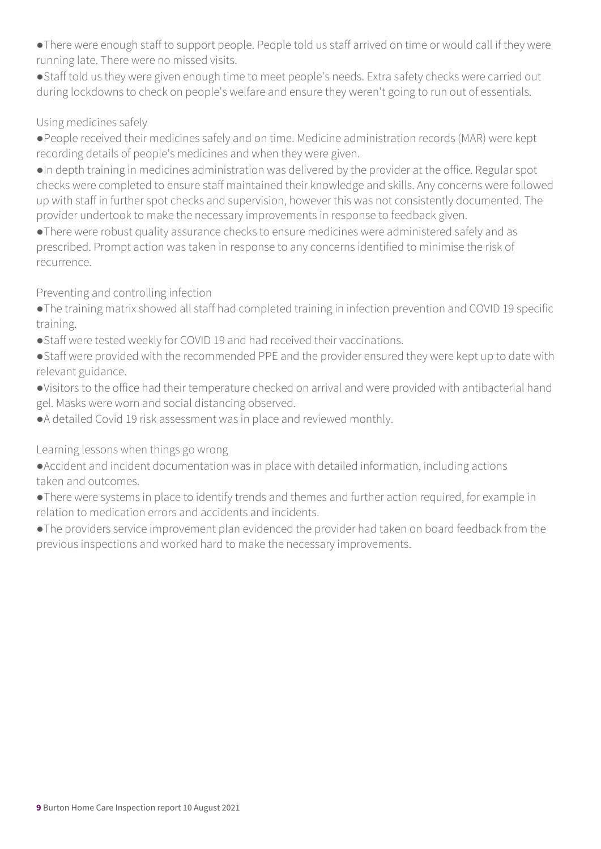- ●There were enough staff to support people. People told us staff arrived on time or would call if they were running late. There were no missed visits.
- ●Staff told us they were given enough time to meet people's needs. Extra safety checks were carried out during lockdowns to check on people's welfare and ensure they weren't going to run out of essentials.

#### Using medicines safely

- ●People received their medicines safely and on time. Medicine administration records (MAR) were kept recording details of people's medicines and when they were given.
- ●In depth training in medicines administration was delivered by the provider at the office. Regular spot checks were completed to ensure staff maintained their knowledge and skills. Any concerns were followed up with staff in further spot checks and supervision, however this was not consistently documented. The provider undertook to make the necessary improvements in response to feedback given.
- ●There were robust quality assurance checks to ensure medicines were administered safely and as prescribed. Prompt action was taken in response to any concerns identified to minimise the risk of recurrence.

#### Preventing and controlling infection

- ●The training matrix showed all staff had completed training in infection prevention and COVID 19 specific training.
- Staff were tested weekly for COVID 19 and had received their vaccinations.
- ●Staff were provided with the recommended PPE and the provider ensured they were kept up to date with relevant guidance.
- ●Visitors to the office had their temperature checked on arrival and were provided with antibacterial hand gel. Masks were worn and social distancing observed.
- ●A detailed Covid 19 risk assessment was in place and reviewed monthly.

Learning lessons when things go wrong

- ●Accident and incident documentation was in place with detailed information, including actions taken and outcomes.
- ●There were systems in place to identify trends and themes and further action required, for example in relation to medication errors and accidents and incidents.
- ●The providers service improvement plan evidenced the provider had taken on board feedback from the previous inspections and worked hard to make the necessary improvements.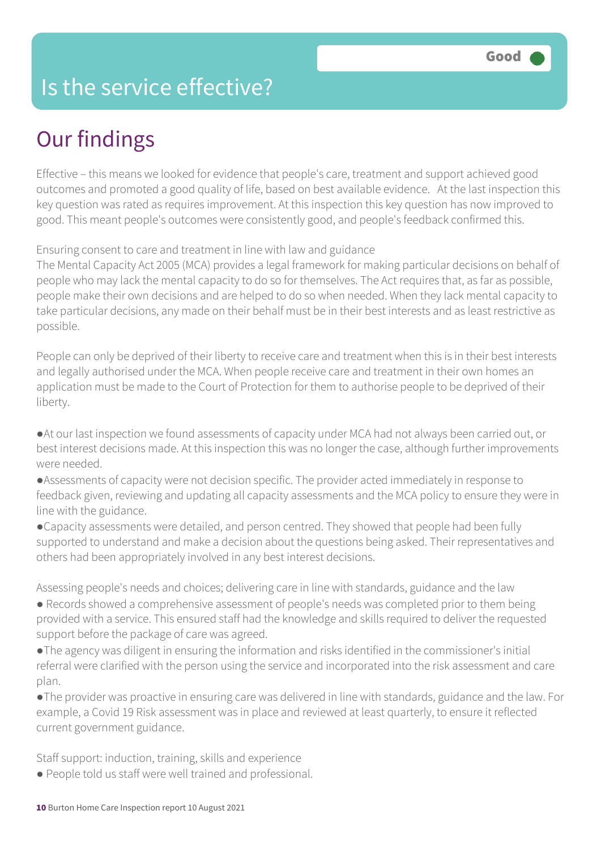## Is the service effective?

## Our findings

Effective – this means we looked for evidence that people's care, treatment and support achieved good outcomes and promoted a good quality of life, based on best available evidence. At the last inspection this key question was rated as requires improvement. At this inspection this key question has now improved to good. This meant people's outcomes were consistently good, and people's feedback confirmed this.

Ensuring consent to care and treatment in line with law and guidance

The Mental Capacity Act 2005 (MCA) provides a legal framework for making particular decisions on behalf of people who may lack the mental capacity to do so for themselves. The Act requires that, as far as possible, people make their own decisions and are helped to do so when needed. When they lack mental capacity to take particular decisions, any made on their behalf must be in their best interests and as least restrictive as possible.

People can only be deprived of their liberty to receive care and treatment when this is in their best interests and legally authorised under the MCA. When people receive care and treatment in their own homes an application must be made to the Court of Protection for them to authorise people to be deprived of their liberty.

●At our last inspection we found assessments of capacity under MCA had not always been carried out, or best interest decisions made. At this inspection this was no longer the case, although further improvements were needed.

●Assessments of capacity were not decision specific. The provider acted immediately in response to feedback given, reviewing and updating all capacity assessments and the MCA policy to ensure they were in line with the guidance.

●Capacity assessments were detailed, and person centred. They showed that people had been fully supported to understand and make a decision about the questions being asked. Their representatives and others had been appropriately involved in any best interest decisions.

Assessing people's needs and choices; delivering care in line with standards, guidance and the law

● Records showed a comprehensive assessment of people's needs was completed prior to them being provided with a service. This ensured staff had the knowledge and skills required to deliver the requested support before the package of care was agreed.

●The agency was diligent in ensuring the information and risks identified in the commissioner's initial referral were clarified with the person using the service and incorporated into the risk assessment and care plan.

●The provider was proactive in ensuring care was delivered in line with standards, guidance and the law. For example, a Covid 19 Risk assessment was in place and reviewed at least quarterly, to ensure it reflected current government guidance.

Staff support: induction, training, skills and experience

● People told us staff were well trained and professional.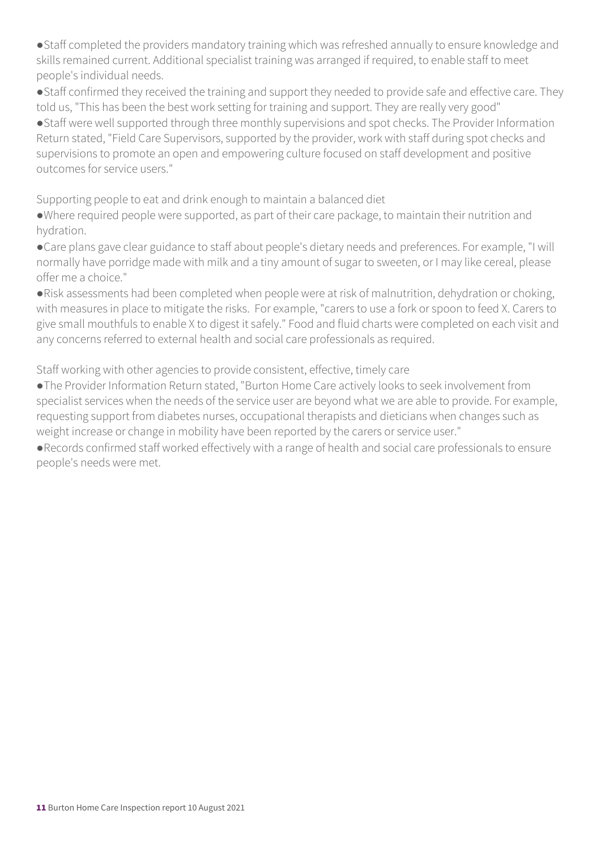●Staff completed the providers mandatory training which was refreshed annually to ensure knowledge and skills remained current. Additional specialist training was arranged if required, to enable staff to meet people's individual needs.

●Staff confirmed they received the training and support they needed to provide safe and effective care. They told us, "This has been the best work setting for training and support. They are really very good" ●Staff were well supported through three monthly supervisions and spot checks. The Provider Information Return stated, "Field Care Supervisors, supported by the provider, work with staff during spot checks and supervisions to promote an open and empowering culture focused on staff development and positive outcomes for service users."

Supporting people to eat and drink enough to maintain a balanced diet

●Where required people were supported, as part of their care package, to maintain their nutrition and hydration.

●Care plans gave clear guidance to staff about people's dietary needs and preferences. For example, "I will normally have porridge made with milk and a tiny amount of sugar to sweeten, or I may like cereal, please offer me a choice."

●Risk assessments had been completed when people were at risk of malnutrition, dehydration or choking, with measures in place to mitigate the risks. For example, "carers to use a fork or spoon to feed X. Carers to give small mouthfuls to enable X to digest it safely." Food and fluid charts were completed on each visit and any concerns referred to external health and social care professionals as required.

Staff working with other agencies to provide consistent, effective, timely care

●The Provider Information Return stated, "Burton Home Care actively looks to seek involvement from specialist services when the needs of the service user are beyond what we are able to provide. For example, requesting support from diabetes nurses, occupational therapists and dieticians when changes such as weight increase or change in mobility have been reported by the carers or service user."

●Records confirmed staff worked effectively with a range of health and social care professionals to ensure people's needs were met.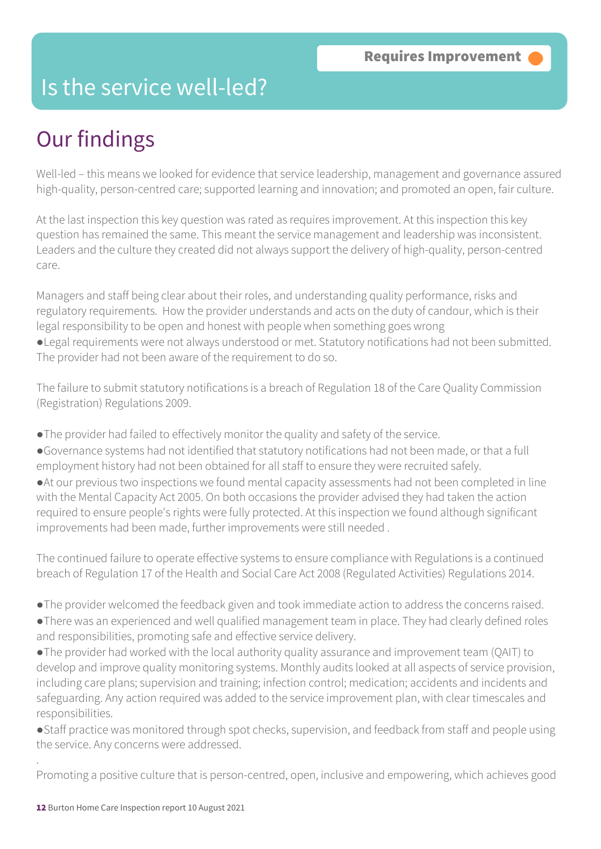## Is the service well-led?

## Our findings

Well-led – this means we looked for evidence that service leadership, management and governance assured high-quality, person-centred care; supported learning and innovation; and promoted an open, fair culture.

At the last inspection this key question was rated as requires improvement. At this inspection this key question has remained the same. This meant the service management and leadership was inconsistent. Leaders and the culture they created did not always support the delivery of high-quality, person-centred care.

Managers and staff being clear about their roles, and understanding quality performance, risks and regulatory requirements. How the provider understands and acts on the duty of candour, which is their legal responsibility to be open and honest with people when something goes wrong

●Legal requirements were not always understood or met. Statutory notifications had not been submitted. The provider had not been aware of the requirement to do so.

The failure to submit statutory notifications is a breach of Regulation 18 of the Care Quality Commission (Registration) Regulations 2009.

- ●The provider had failed to effectively monitor the quality and safety of the service.
- ●Governance systems had not identified that statutory notifications had not been made, or that a full employment history had not been obtained for all staff to ensure they were recruited safely.
- ●At our previous two inspections we found mental capacity assessments had not been completed in line with the Mental Capacity Act 2005. On both occasions the provider advised they had taken the action required to ensure people's rights were fully protected. At this inspection we found although significant improvements had been made, further improvements were still needed .

The continued failure to operate effective systems to ensure compliance with Regulations is a continued breach of Regulation 17 of the Health and Social Care Act 2008 (Regulated Activities) Regulations 2014.

- ●The provider welcomed the feedback given and took immediate action to address the concerns raised.
- ●There was an experienced and well qualified management team in place. They had clearly defined roles and responsibilities, promoting safe and effective service delivery.
- ●The provider had worked with the local authority quality assurance and improvement team (QAIT) to develop and improve quality monitoring systems. Monthly audits looked at all aspects of service provision, including care plans; supervision and training; infection control; medication; accidents and incidents and safeguarding. Any action required was added to the service improvement plan, with clear timescales and responsibilities.

●Staff practice was monitored through spot checks, supervision, and feedback from staff and people using the service. Any concerns were addressed.

Promoting a positive culture that is person-centred, open, inclusive and empowering, which achieves good

.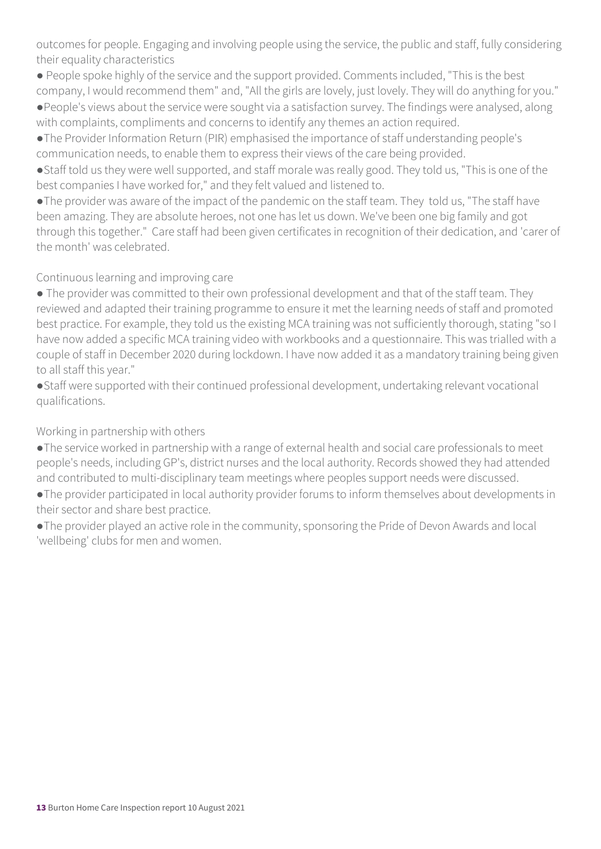outcomes for people. Engaging and involving people using the service, the public and staff, fully considering their equality characteristics

● People spoke highly of the service and the support provided. Comments included, "This is the best company, I would recommend them" and, "All the girls are lovely, just lovely. They will do anything for you." ●People's views about the service were sought via a satisfaction survey. The findings were analysed, along with complaints, compliments and concerns to identify any themes an action required.

●The Provider Information Return (PIR) emphasised the importance of staff understanding people's communication needs, to enable them to express their views of the care being provided.

●Staff told us they were well supported, and staff morale was really good. They told us, "This is one of the best companies I have worked for," and they felt valued and listened to.

●The provider was aware of the impact of the pandemic on the staff team. They told us, "The staff have been amazing. They are absolute heroes, not one has let us down. We've been one big family and got through this together." Care staff had been given certificates in recognition of their dedication, and 'carer of the month' was celebrated.

#### Continuous learning and improving care

● The provider was committed to their own professional development and that of the staff team. They reviewed and adapted their training programme to ensure it met the learning needs of staff and promoted best practice. For example, they told us the existing MCA training was not sufficiently thorough, stating "so I have now added a specific MCA training video with workbooks and a questionnaire. This was trialled with a couple of staff in December 2020 during lockdown. I have now added it as a mandatory training being given to all staff this year."

●Staff were supported with their continued professional development, undertaking relevant vocational qualifications.

#### Working in partnership with others

●The service worked in partnership with a range of external health and social care professionals to meet people's needs, including GP's, district nurses and the local authority. Records showed they had attended and contributed to multi-disciplinary team meetings where peoples support needs were discussed.

●The provider participated in local authority provider forums to inform themselves about developments in their sector and share best practice.

●The provider played an active role in the community, sponsoring the Pride of Devon Awards and local 'wellbeing' clubs for men and women.